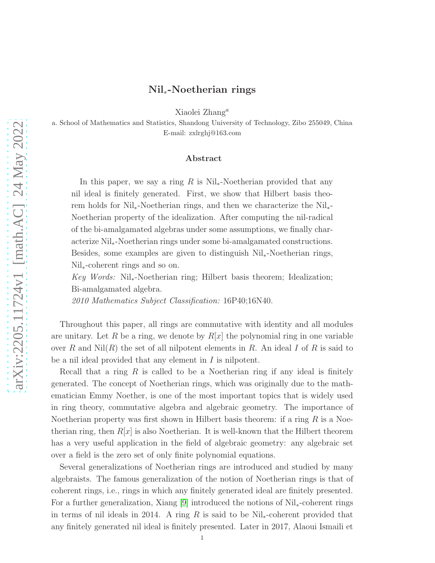# Nil∗-Noetherian rings

Xiaolei Zhang<sup>a</sup>

a. School of Mathematics and Statistics, Shandong University of Technology, Zibo 255049, China E-mail: zxlrghj@163.com

# Abstract

In this paper, we say a ring R is  $\mathrm{Nil}_*$ -Noetherian provided that any nil ideal is finitely generated. First, we show that Hilbert basis theorem holds for Nil∗-Noetherian rings, and then we characterize the Nil∗- Noetherian property of the idealization. After computing the nil-radical of the bi-amalgamated algebras under some assumptions, we finally characterize Nil∗-Noetherian rings under some bi-amalgamated constructions. Besides, some examples are given to distinguish Nil∗-Noetherian rings, Nil∗-coherent rings and so on.

*Key Words:* Nil∗-Noetherian ring; Hilbert basis theorem; Idealization; Bi-amalgamated algebra.

*2010 Mathematics Subject Classification:* 16P40;16N40.

Throughout this paper, all rings are commutative with identity and all modules are unitary. Let R be a ring, we denote by  $R[x]$  the polynomial ring in one variable over R and  $Nil(R)$  the set of all nilpotent elements in R. An ideal I of R is said to be a nil ideal provided that any element in I is nilpotent.

Recall that a ring  $R$  is called to be a Noetherian ring if any ideal is finitely generated. The concept of Noetherian rings, which was originally due to the mathematician Emmy Noether, is one of the most important topics that is widely used in ring theory, commutative algebra and algebraic geometry. The importance of Noetherian property was first shown in Hilbert basis theorem: if a ring  $R$  is a Noetherian ring, then  $R[x]$  is also Noetherian. It is well-known that the Hilbert theorem has a very useful application in the field of algebraic geometry: any algebraic set over a field is the zero set of only finite polynomial equations.

Several generalizations of Noetherian rings are introduced and studied by many algebraists. The famous generalization of the notion of Noetherian rings is that of coherent rings, i.e., rings in which any finitely generated ideal are finitely presented. For a further generalization, Xiang [\[9\]](#page-8-0) introduced the notions of Nil∗-coherent rings in terms of nil ideals in 2014. A ring R is said to be Nil<sub>∗</sub>-coherent provided that any finitely generated nil ideal is finitely presented. Later in 2017, Alaoui Ismaili et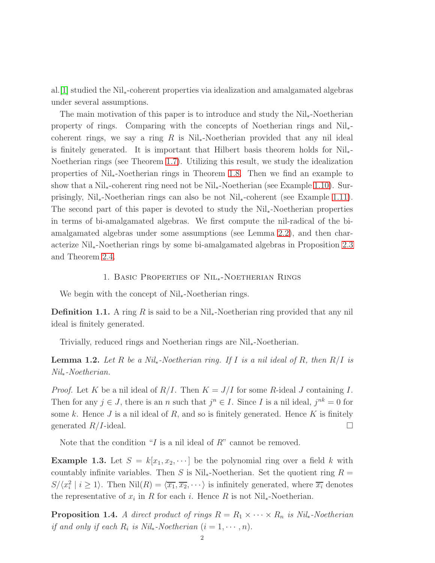al.[\[1\]](#page-7-0) studied the Nil∗-coherent properties via idealization and amalgamated algebras under several assumptions.

The main motivation of this paper is to introduce and study the Nil∗-Noetherian property of rings. Comparing with the concepts of Noetherian rings and Nil∗ coherent rings, we say a ring R is  $Nil_{*}$ -Noetherian provided that any nil ideal is finitely generated. It is important that Hilbert basis theorem holds for Nil∗- Noetherian rings (see Theorem [1.7\)](#page-2-0). Utilizing this result, we study the idealization properties of Nil∗-Noetherian rings in Theorem [1.8.](#page-3-0) Then we find an example to show that a Nil∗-coherent ring need not be Nil∗-Noetherian (see Example [1.10\)](#page-4-0). Surprisingly, Nil∗-Noetherian rings can also be not Nil∗-coherent (see Example [1.11\)](#page-4-1). The second part of this paper is devoted to study the Nil∗-Noetherian properties in terms of bi-amalgamated algebras. We first compute the nil-radical of the biamalgamated algebras under some assumptions (see Lemma [2.2\)](#page-5-0), and then characterize Nil∗-Noetherian rings by some bi-amalgamated algebras in Proposition [2.3](#page-6-0) and Theorem [2.4.](#page-6-1)

# 1. Basic Properties of Nil∗-Noetherian Rings

We begin with the concept of Nil∗-Noetherian rings.

**Definition 1.1.** A ring R is said to be a Nil<sub>∗</sub>-Noetherian ring provided that any nil ideal is finitely generated.

Trivially, reduced rings and Noetherian rings are Nil∗-Noetherian.

<span id="page-1-0"></span>Lemma 1.2. *Let* R *be a Nil*∗*-Noetherian ring. If* I *is a nil ideal of* R*, then* R/I *is Nil*∗*-Noetherian.*

*Proof.* Let K be a nil ideal of  $R/I$ . Then  $K = J/I$  for some R-ideal J containing I. Then for any  $j \in J$ , there is an n such that  $j^n \in I$ . Since I is a nil ideal,  $j^{nk} = 0$  for some  $k$ . Hence  $J$  is a nil ideal of  $R$ , and so is finitely generated. Hence  $K$  is finitely generated  $R/I$ -ideal.

Note that the condition "I is a nil ideal of  $R$ " cannot be removed.

**Example 1.3.** Let  $S = k[x_1, x_2, \dots]$  be the polynomial ring over a field k with countably infinite variables. Then S is  $\text{Nil}_*$ -Noetherian. Set the quotient ring  $R =$  $S/\langle x_i^2 \mid i \geq 1 \rangle$ . Then  $\text{Nil}(R) = \langle \overline{x_1}, \overline{x_2}, \cdots \rangle$  is infinitely generated, where  $\overline{x_i}$  denotes the representative of  $x_i$  in R for each i. Hence R is not Nil<sub>\*</sub>-Noetherian.

**Proposition 1.4.** *A direct product of rings*  $R = R_1 \times \cdots \times R_n$  *is Nil*<sub>∗</sub>*-Noetherian if and only if each*  $R_i$  *is Nil*<sub>\*</sub>*-Noetherian*  $(i = 1, \dots, n)$ .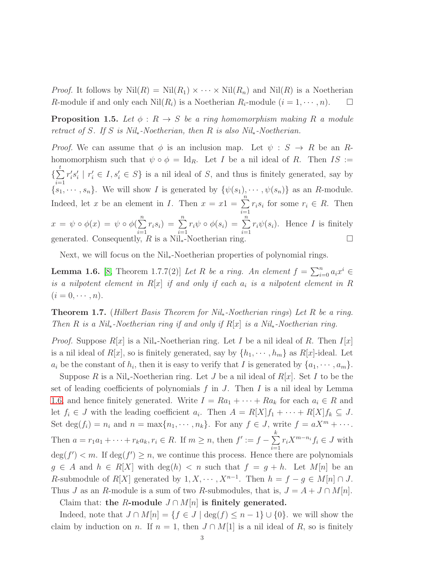*Proof.* It follows by  $Nil(R) = Nil(R_1) \times \cdots \times Nil(R_n)$  and  $Nil(R)$  is a Noetherian R-module if and only each  $Nil(R_i)$  is a Noetherian  $R_i$ -module  $(i = 1, \dots, n)$ .  $\Box$ 

<span id="page-2-2"></span>**Proposition 1.5.** Let  $\phi: R \to S$  be a ring homomorphism making R a module *retract of* S*. If* S *is Nil*∗*-Noetherian, then* R *is also Nil*∗*-Noetherian.*

*Proof.* We can assume that  $\phi$  is an inclusion map. Let  $\psi : S \to R$  be an Rhomomorphism such that  $\psi \circ \phi = \text{Id}_R$ . Let I be a nil ideal of R. Then IS :=  $\{\sum$ t  $i=1$  $r_i'$  $s_i's_i'$  $i \mid r'_i \in I, s'_i \in S$  is a nil ideal of S, and thus is finitely generated, say by  ${s_1, \dots, s_n}$ . We will show I is generated by  ${\psi(s_1), \dots, \psi(s_n)}$  as an R-module. Indeed, let x be an element in I. Then  $x = x1 = \sum_{n=1}^{\infty}$  $i=1$  $r_i s_i$  for some  $r_i \in R$ . Then  $x = \psi \circ \phi(x) = \psi \circ \phi(\sum^{n}$  $i=1$  $r_i s_i) = \sum_{i=1}^{n}$  $i=1$  $r_i\psi \circ \phi(s_i) = \sum^n$  $i=1$  $r_i\psi(s_i)$ . Hence *I* is finitely generated. Consequently, R is a Nil<sub>∗</sub>-Noetherian ring.  $\square$ 

Next, we will focus on the Nil∗-Noetherian properties of polynomial rings.

<span id="page-2-1"></span>**Lemma 1.6.** [\[8,](#page-8-1) Theorem 1.7.7(2)] *Let* R *be a ring. An element*  $f = \sum_{i=0}^{n} a_i x^i$   $\in$ *is a nilpotent element in* R[x] *if and only if each* a<sup>i</sup> *is a nilpotent element in* R  $(i = 0, \cdots, n).$ 

<span id="page-2-0"></span>Theorem 1.7. (*Hilbert Basis Theorem for Nil*∗*-Noetherian rings*) *Let* R *be a ring. Then* R *is a Nil*∗*-Noetherian ring if and only if* R[x] *is a Nil*∗*-Noetherian ring.*

*Proof.* Suppose  $R[x]$  is a Nil<sub>∗</sub>-Noetherian ring. Let I be a nil ideal of R. Then I[x] is a nil ideal of  $R[x]$ , so is finitely generated, say by  $\{h_1, \dots, h_m\}$  as  $R[x]$ -ideal. Let  $a_i$  be the constant of  $h_i$ , then it is easy to verify that I is generated by  $\{a_1, \dots, a_m\}$ .

Suppose R is a Nil<sub>\*</sub>-Noetherian ring. Let J be a nil ideal of  $R[x]$ . Set I to be the set of leading coefficients of polynomials  $f$  in  $J$ . Then  $I$  is a nil ideal by Lemma [1.6,](#page-2-1) and hence finitely generated. Write  $I = Ra_1 + \cdots + Ra_k$  for each  $a_i \in R$  and let  $f_i \in J$  with the leading coefficient  $a_i$ . Then  $A = R[X]f_1 + \cdots + R[X]f_k \subseteq J$ . Set deg( $f_i$ ) =  $n_i$  and  $n = \max\{n_1, \dots, n_k\}$ . For any  $f \in J$ , write  $f = aX^m + \dots$ . Then  $a = r_1 a_1 + \cdots + r_k a_k, r_i \in R$ . If  $m \geq n$ , then  $f' := f - \sum_{i=1}^{n}$ k  $i=1$  $r_iX^{m-n_i}f_i\in J$  with  $deg(f') < m$ . If  $deg(f') \geq n$ , we continue this process. Hence there are polynomials  $g \in A$  and  $h \in R[X]$  with  $deg(h) < n$  such that  $f = g + h$ . Let  $M[n]$  be an R-submodule of  $R[X]$  generated by  $1, X, \dots, X^{n-1}$ . Then  $h = f - g \in M[n] \cap J$ . Thus J as an R-module is a sum of two R-submodules, that is,  $J = A + J \cap M[n]$ . Claim that: the R-module  $J \cap M[n]$  is finitely generated.

Indeed, note that  $J \cap M[n] = \{f \in J \mid \deg(f) \leq n-1\} \cup \{0\}$ . we will show the claim by induction on n. If  $n = 1$ , then  $J \cap M[1]$  is a nil ideal of R, so is finitely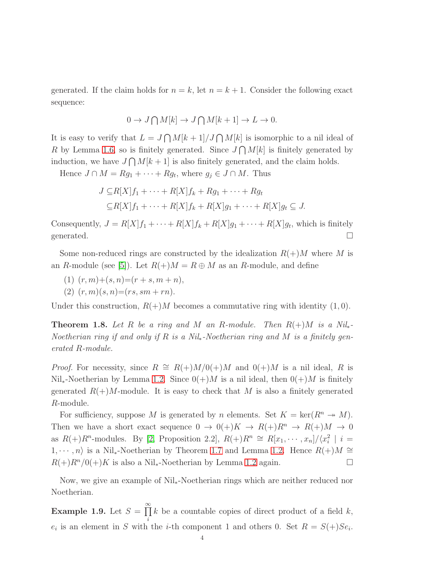generated. If the claim holds for  $n = k$ , let  $n = k + 1$ . Consider the following exact sequence:

$$
0 \to J \bigcap M[k] \to J \bigcap M[k+1] \to L \to 0.
$$

It is easy to verify that  $L = J \bigcap M[k+1]/J \bigcap M[k]$  is isomorphic to a nil ideal of R by Lemma [1.6,](#page-2-1) so is finitely generated. Since  $J \bigcap M[k]$  is finitely generated by induction, we have  $J \bigcap M[k+1]$  is also finitely generated, and the claim holds.

Hence  $J \cap M = Rg_1 + \cdots + Rg_t$ , where  $g_j \in J \cap M$ . Thus

$$
J \subseteq R[X]f_1 + \cdots + R[X]f_k + Rg_1 + \cdots + Rg_t
$$
  
\n
$$
\subseteq R[X]f_1 + \cdots + R[X]f_k + R[X]g_1 + \cdots + R[X]g_t \subseteq J.
$$

Consequently,  $J = R[X]f_1 + \cdots + R[X]f_k + R[X]g_1 + \cdots + R[X]g_t$ , which is finitely generated.  $\Box$ 

Some non-reduced rings are constructed by the idealization  $R(+)M$  where M is an R-module (see [\[5\]](#page-8-2)). Let  $R(+)M = R \oplus M$  as an R-module, and define

- (1)  $(r, m) + (s, n) = (r + s, m + n),$
- (2)  $(r, m)(s, n) = (rs, sm + rn)$ .

Under this construction,  $R(+)M$  becomes a commutative ring with identity  $(1,0)$ .

<span id="page-3-0"></span>**Theorem 1.8.** Let R be a ring and M an R-module. Then  $R(+)M$  is a Nil<sub>\*</sub>-*Noetherian ring if and only if* R *is a Nil*∗*-Noetherian ring and* M *is a finitely generated* R*-module.*

*Proof.* For necessity, since  $R \cong R(+)M/0(+)M$  and  $0(+)M$  is a nil ideal, R is  $Nil_{*}$ -Noetherian by Lemma [1.2.](#page-1-0) Since  $0(+)M$  is a nil ideal, then  $0(+)M$  is finitely generated  $R(+)M$ -module. It is easy to check that M is also a finitely generated R-module.

For sufficiency, suppose M is generated by n elements. Set  $K = \text{ker}(R^n \rightarrow M)$ . Then we have a short exact sequence  $0 \to 0(+)K \to R(+)R^n \to R(+)M \to 0$ as  $R(+)R^n$ -modules. By [\[2,](#page-7-1) Proposition 2.2],  $R(+)R^n \cong R[x_1, \cdots, x_n]/\langle x_i^2 | i =$  $1, \dots, n$  is a Nil<sub>∗</sub>-Noetherian by Theorem [1.7](#page-2-0) and Lemma [1.2.](#page-1-0) Hence  $R(+)M \cong$  $R(+)R^n/0(+)K$  is also a Nil<sub>\*</sub>-Noetherian by Lemma [1.2](#page-1-0) again.  $\square$ 

Now, we give an example of Nil∗-Noetherian rings which are neither reduced nor Noetherian.

**Example 1.9.** Let  $S = \prod^{\infty}$ i k be a countable copies of direct product of a field  $k$ ,  $e_i$  is an element in S with the *i*-th component 1 and others 0. Set  $R = S(+)Se_i$ .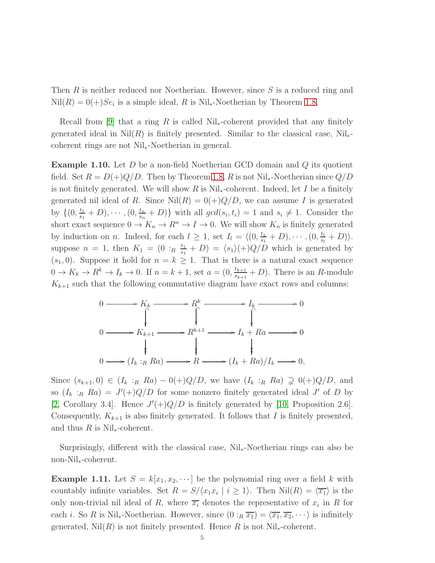Then R is neither reduced nor Noetherian. However, since  $S$  is a reduced ring and  $Nil(R) = 0(+)Se_i$  is a simple ideal, R is Nil<sub>\*</sub>-Noetherian by Theorem [1.8.](#page-3-0)

Recall from [\[9\]](#page-8-0) that a ring R is called  $\text{Nil}_{*}\text{-coherent}$  provided that any finitely generated ideal in  $Nil(R)$  is finitely presented. Similar to the classical case, Nil<sub>\*</sub>coherent rings are not Nil∗-Noetherian in general.

<span id="page-4-0"></span>**Example 1.10.** Let  $D$  be a non-field Noetherian GCD domain and  $Q$  its quotient field. Set  $R = D(+)Q/D$ . Then by Theorem [1.8,](#page-3-0) R is not Nil<sub>\*</sub>-Noetherian since  $Q/D$ is not finitely generated. We will show R is  $Nil$ -coherent. Indeed, let I be a finitely generated nil ideal of R. Since  $Nil(R) = 0(+)Q/D$ , we can assume I is generated by  $\{ (0, \frac{t_1}{s_1}) \}$  $\frac{t_1}{s_1}+D, \cdots, (0, \frac{t_n}{s_n})$  $\{e_{s_n}^{t_n} + D\}$  with all  $gcd(s_i, t_i) = 1$  and  $s_i \neq 1$ . Consider the short exact sequence  $0 \to K_n \to R^n \to I \to 0$ . We will show  $K_n$  is finitely generated by induction on *n*. Indeed, for each  $l \geq 1$ , set  $I_l = \langle (0, \frac{t_1}{s_1})$  $\frac{t_1}{s_1}+D$ ),  $\cdots$  ,  $(0, \frac{t_l}{s_l})$  $\frac{t_l}{s_l}+D)\rangle.$ suppose  $n = 1$ , then  $K_1 = (0 :_R \frac{t_1}{s_1})$  $\frac{t_1}{s_1} + D$  =  $\langle s_1 \rangle (+) Q/D$  which is generated by  $(s_1, 0)$ . Suppose it hold for  $n = k \geq 1$ . That is there is a natural exact sequence  $0 \to K_k \to R^k \to I_k \to 0$ . If  $n = k + 1$ , set  $a = (0, \frac{t_{k+1}}{s_{k+1}})$  $\frac{t_{k+1}}{s_{k+1}}$  + D). There is an R-module  $K_{k+1}$  such that the following commutative diagram have exact rows and columns:



Since  $(s_{k+1}, 0) \in (I_k :_R R_a) - 0(+)Q/D$ , we have  $(I_k :_R R_a) \supsetneq 0(+)Q/D$ , and so  $(I_k :_R R_a) = J'(+)Q/D$  for some nonzero finitely generated ideal J' of D by [\[2,](#page-7-1) Corollary 3.4]. Hence  $J'(+)Q/D$  is finitely generated by [\[10,](#page-8-3) Proposition 2.6]. Consequently,  $K_{k+1}$  is also finitely generated. It follows that I is finitely presented, and thus R is Nil<sub>∗</sub>-coherent.

Surprisingly, different with the classical case, Nil∗-Noetherian rings can also be non-Nil∗-coherent.

<span id="page-4-1"></span>**Example 1.11.** Let  $S = k[x_1, x_2, \dots]$  be the polynomial ring over a field k with countably infinite variables. Set  $R = S/(x_1x_i \mid i \geq 1)$ . Then  $Nil(R) = \langle \overline{x_1} \rangle$  is the only non-trivial nil ideal of R, where  $\overline{x_i}$  denotes the representative of  $x_i$  in R for each *i*. So R is Nil<sub>\*</sub>-Noetherian. However, since  $(0:_{R} \overline{x_1}) = \langle \overline{x_1}, \overline{x_2}, \cdots \rangle$  is infinitely generated,  $Nil(R)$  is not finitely presented. Hence R is not  $Nil_{*}$ -coherent.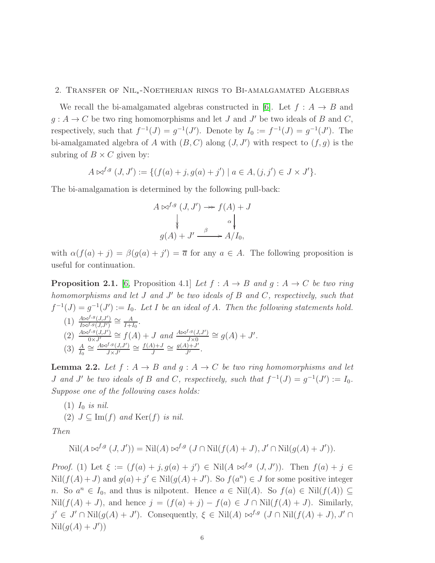# 2. Transfer of Nil∗-Noetherian rings to Bi-amalgamated Algebras

We recall the bi-amalgamated algebras constructed in [\[6\]](#page-8-4). Let  $f : A \rightarrow B$  and  $g: A \to C$  be two ring homomorphisms and let J and J' be two ideals of B and C, respectively, such that  $f^{-1}(J) = g^{-1}(J')$ . Denote by  $I_0 := f^{-1}(J) = g^{-1}(J')$ . The bi-amalgamated algebra of A with  $(B, C)$  along  $(J, J')$  with respect to  $(f, g)$  is the subring of  $B \times C$  given by:

$$
A \bowtie^{f,g} (J, J') := \{ (f(a) + j, g(a) + j') \mid a \in A, (j, j') \in J \times J' \}.
$$

The bi-amalgamation is determined by the following pull-back:

$$
A \bowtie^{f,g} (J, J') \longrightarrow f(A) + J
$$
  
\n
$$
\downarrow \qquad \qquad \downarrow
$$
  
\n
$$
g(A) + J' \xrightarrow{\beta} A/I_0,
$$

with  $\alpha(f(a) + j) = \beta(g(a) + j') = \overline{a}$  for any  $a \in A$ . The following proposition is useful for continuation.

<span id="page-5-1"></span>**Proposition 2.1.** [\[6,](#page-8-4) Proposition 4.1] *Let*  $f : A \rightarrow B$  *and*  $g : A \rightarrow C$  *be two ring homomorphisms and let* J *and* J ′ *be two ideals of* B *and* C*, respectively, such that*  $f^{-1}(J) = g^{-1}(J') := I_0$ . Let I be an ideal of A. Then the following statements hold.

 $(1) \frac{A\Join^{f,g}(J,J')}{I\Join^{f,g}(J,J')} \cong \frac{A}{I+J}$  $\frac{A}{I+I_0}$ .  $(2) \frac{A \bowtie^{f,g}(J,J')}{0 \times J'} \cong f(A) + J$  *and*  $\frac{A \bowtie^{f,g}(J,J')}{J \times 0} \cong g(A) + J'.$  $(3)$   $\frac{A}{I_0} \cong \frac{A \Join^{f,g}(J,J')}{J \times J'} \cong \frac{f(A)+J}{J}$  $\frac{d+J}{J} \cong \frac{g(A)+J'}{J'}$  $\frac{J^{j+J}}{J'}$ .

<span id="page-5-0"></span>**Lemma 2.2.** Let  $f : A \to B$  and  $g : A \to C$  be two ring homomorphisms and let *J* and *J'* be two ideals of B and C, respectively, such that  $f^{-1}(J) = g^{-1}(J') := I_0$ . *Suppose one of the following cases holds:*

- $(1)$   $I_0$  *is nil.*
- (2)  $J \subseteq \text{Im}(f)$  and  $\text{Ker}(f)$  *is nil.*

*Then*

$$
\text{Nil}(A\bowtie^{f,g}(J,J')) = \text{Nil}(A)\bowtie^{f,g}(J\cap \text{Nil}(f(A)+J), J'\cap \text{Nil}(g(A)+J')).
$$

*Proof.* (1) Let  $\xi := (f(a) + j, g(a) + j') \in Nil(A \bowtie^{f,g} (J, J'))$ . Then  $f(a) + j \in$  $Nil(f(A)+J)$  and  $g(a)+j' \in Nil(g(A)+J')$ . So  $f(a^n) \in J$  for some positive integer n. So  $a^n \in I_0$ , and thus is nilpotent. Hence  $a \in Nil(A)$ . So  $f(a) \in Nil(f(A)) \subseteq$ Nil(f(A) + J), and hence  $j = (f(a) + j) - f(a) \in J ∩ Nil(f(A) + J)$ . Similarly,  $j' \in J' \cap Nil(g(A) + J')$ . Consequently,  $\xi \in Nil(A) \bowtie^{f,g} (J \cap Nil(f(A) + J), J' \cap J')$  $\mathrm{Nil}(g(A) + J'))$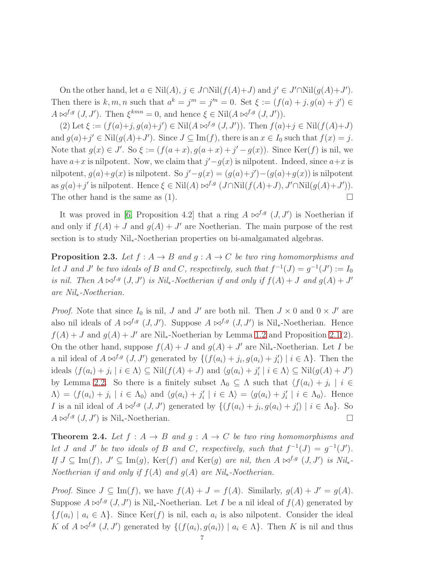On the other hand, let  $a \in Nil(A)$ ,  $j \in J \cap Nil(f(A)+J)$  and  $j' \in J' \cap Nil(g(A)+J')$ . Then there is  $k, m, n$  such that  $a^k = j^m = j'^n = 0$ . Set  $\xi := (f(a) + j, g(a) + j') \in$  $A \bowtie^{f,g} (J, J')$ . Then  $\xi^{kmn} = 0$ , and hence  $\xi \in Nil(A \bowtie^{f,g} (J, J'))$ .

(2) Let  $\xi := (f(a)+j, g(a)+j') \in Nil(A \bowtie^{f,g}(J, J'))$ . Then  $f(a)+j \in Nil(f(A)+J)$ and  $g(a)+j' \in Nil(g(A)+J')$ . Since  $J \subseteq Im(f)$ , there is an  $x \in I_0$  such that  $f(x) = j$ . Note that  $g(x) \in J'$ . So  $\xi := (f(a+x), g(a+x) + j' - g(x))$ . Since Ker(f) is nil, we have  $a+x$  is nilpotent. Now, we claim that  $j'-g(x)$  is nilpotent. Indeed, since  $a+x$  is nilpotent,  $g(a)+g(x)$  is nilpotent. So  $j'-g(x)=(g(a)+j')-(g(a)+g(x))$  is nilpotent as  $g(a)+j'$  is nilpotent. Hence  $\xi \in Nil(A) \bowtie^{f,g} (J \cap Nil(f(A)+J), J' \cap Nil(g(A)+J')).$ The other hand is the same as  $(1)$ .

It was proved in [\[6,](#page-8-4) Proposition 4.2] that a ring  $A \bowtie^{f,g}(J, J')$  is Noetherian if and only if  $f(A) + J$  and  $g(A) + J'$  are Noetherian. The main purpose of the rest section is to study Nil<sub>∗</sub>-Noetherian properties on bi-amalgamated algebras.

<span id="page-6-0"></span>**Proposition 2.3.** Let  $f : A \rightarrow B$  and  $g : A \rightarrow C$  be two ring homomorphisms and *let J* and *J'* be two ideals of *B* and *C*, respectively, such that  $f^{-1}(J) = g^{-1}(J') := I_0$ *is nil. Then*  $A \Join^{f,g}(J, J')$  *is Nil*<sub>\*</sub>-Noetherian if and only if  $f(A) + J$  and  $g(A) + J'$ *are Nil*∗*-Noetherian.*

*Proof.* Note that since  $I_0$  is nil, J and J' are both nil. Then  $J \times 0$  and  $0 \times J'$  are also nil ideals of  $A \bowtie^{f,g}(J, J')$ . Suppose  $A \bowtie^{f,g}(J, J')$  is Nil<sub>\*</sub>-Noetherian. Hence  $f(A) + J$  and  $g(A) + J'$  are Nil<sub>\*</sub>-Noetherian by Lemma [1.2](#page-1-0) and Proposition [2.1\(](#page-5-1)2). On the other hand, suppose  $f(A) + J$  and  $g(A) + J'$  are Nil<sub>\*</sub>-Noetherian. Let I be a nil ideal of  $A \Join^{f,g} (J, J')$  generated by  $\{ (f(a_i) + j_i, g(a_i) + j'_i, g(a_i) + j'_i, g(a_i) + j'_i, g(a_i) + j'_i, g(a_i) + j'_i, g(a_i) + j'_i, g(a_i) + j'_i, g(a_i) + j'_i, g(a_i) + j'_i, g(a_i) + j'_i, g(a_i) + j'_i, g(a_i) + j'_i, g(a_i) + j'_i, g(a_i) + j'_i, g(a_i) + j'_i, g(a_i) + j'_i, g(a_i) + j'_i, g(a_i) + j'_i, g(a_i)$  $'_{i}) | i \in \Lambda$ . Then the ideals  $\langle f(a_i) + j_i \mid i \in \Lambda \rangle \subseteq Nil(f(A) + J)$  and  $\langle g(a_i) + j'_i \rangle$  $\binom{n}{i}$   $i \in \Lambda$   $\subseteq$  Nil $(g(A) + J')$ by Lemma [2.2.](#page-5-0) So there is a finitely subset  $\Lambda_0 \subseteq \Lambda$  such that  $\langle f(a_i) + j_i \mid i \in$  $\Lambda \rangle = \langle f(a_i) + j_i \mid i \in \Lambda_0 \rangle$  and  $\langle g(a_i) + j'_i \rangle$  $\langle i | i \in \Lambda \rangle = \langle g(a_i) + j'_i \rangle$  $i \mid i \in \Lambda_0$ . Hence *I* is a nil ideal of  $A \Join^{f,g} (J, J')$  generated by  $\{ (f(a_i) + j_i, g(a_i) + j'_i, g(a_i) + j'_i, g(a_i) + j'_i, g(a_i) + j'_i, g(a_i) + j'_i, g(a_i) + j'_i, g(a_i) + j'_i, g(a_i) + j'_i, g(a_i) + j'_i, g(a_i) + j'_i, g(a_i) + j'_i, g(a_i) + j'_i, g(a_i) + j'_i, g(a_i) + j'_i, g(a_i) + j'_i, g(a_i) + j'_i, g(a_i) + j'_i, g(a_i) + j$  $'_{i}) \mid i \in \Lambda_{0}$  }. So  $A \bowtie^{f,g} (J, J')$  is Nil<sub>\*</sub>-Noetherian.

<span id="page-6-1"></span>**Theorem 2.4.** Let  $f : A \rightarrow B$  and  $g : A \rightarrow C$  be two ring homomorphisms and *let J* and *J'* be two ideals of *B* and *C*, respectively, such that  $f^{-1}(J) = g^{-1}(J')$ . *If*  $J \subseteq \text{Im}(f)$ ,  $J' \subseteq \text{Im}(g)$ , Ker(f) and Ker(g) are nil, then  $A \Join^{f,g}(J, J')$  is Nil<sub>\*</sub>-*Noetherian if and only if* f(A) *and* g(A) *are Nil*∗*-Noetherian.*

*Proof.* Since  $J \subseteq \text{Im}(f)$ , we have  $f(A) + J = f(A)$ . Similarly,  $g(A) + J' = g(A)$ . Suppose  $A \bowtie^{f,g}(J, J')$  is Nil<sub>\*</sub>-Noetherian. Let I be a nil ideal of  $f(A)$  generated by  ${f}(a_i) \mid a_i \in \Lambda$ . Since  $\text{Ker}(f)$  is nil, each  $a_i$  is also nilpotent. Consider the ideal K of  $A \bowtie^{f,g} (J, J')$  generated by  $\{ (f(a_i), g(a_i)) \mid a_i \in \Lambda \}$ . Then K is nil and thus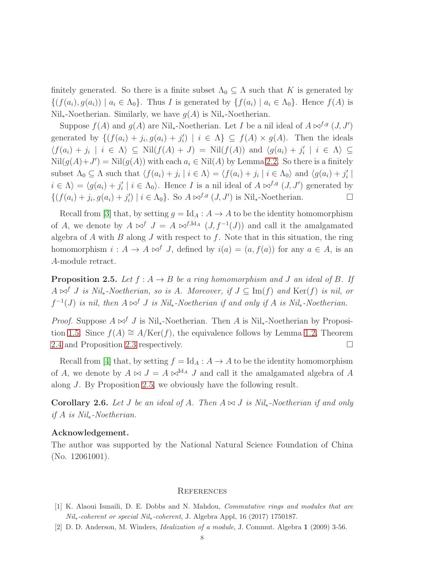finitely generated. So there is a finite subset  $\Lambda_0 \subseteq \Lambda$  such that K is generated by  $\{(f(a_i), g(a_i)) \mid a_i \in \Lambda_0\}$ . Thus I is generated by  $\{f(a_i) \mid a_i \in \Lambda_0\}$ . Hence  $f(A)$  is  $Nil_{*}$ -Noetherian. Similarly, we have  $g(A)$  is Nil<sub>∗</sub>-Noetherian.

Suppose  $f(A)$  and  $g(A)$  are Nil<sub>\*</sub>-Noetherian. Let I be a nil ideal of  $A \bowtie^{f,g}(J, J')$ generated by  $\{ (f(a_i) + j_i, g(a_i) + j'_i) \}$  $j_i'$  |  $i \in \Lambda$   $\subseteq$   $f(A) \times g(A)$ . Then the ideals  $\langle f(a_i) + j_i \mid i \in \Lambda \rangle \subseteq Nil(f(A) + J) = Nil(f(A))$  and  $\langle g(a_i) + j'_i \rangle$  $\langle i \mid i \in \Lambda \rangle \subseteq$  $Nil(g(A)+J')=Nil(g(A))$  with each  $a_i \in Nil(A)$  by Lemma [2.2.](#page-5-0) So there is a finitely subset  $\Lambda_0 \subseteq \Lambda$  such that  $\langle f(a_i) + j_i | i \in \Lambda \rangle = \langle f(a_i) + j_i | i \in \Lambda_0 \rangle$  and  $\langle g(a_i) + j'_i \rangle$  $\frac{\prime}{i}$  $i \in \Lambda$  =  $\langle g(a_i) + j'_i \rangle$  $i \mid i \in \Lambda_0$ . Hence *I* is a nil ideal of  $A \bowtie^{f,g} (J, J')$  generated by  $\{ (f(a_i) + j_i, g(a_i) + j'_i)$  $i \in \Lambda_0$ . So  $A \bowtie^{f,g} (J, J')$  is Nil<sub>\*</sub>-Noetherian.

Recall from [\[3\]](#page-8-5) that, by setting  $g = Id_A : A \to A$  to be the identity homomorphism of A, we denote by  $A \bowtie^f J = A \bowtie^{f,\mathrm{Id}_A} (J, f^{-1}(J))$  and call it the amalgamated algebra of  $A$  with  $B$  along  $J$  with respect to  $f$ . Note that in this situation, the ring homomorphism  $i : A \to A \bowtie^f J$ , defined by  $i(a) = (a, f(a))$  for any  $a \in A$ , is an A-module retract.

<span id="page-7-2"></span>**Proposition 2.5.** Let  $f : A \rightarrow B$  be a ring homomorphism and J an ideal of B. If A ⊲⊳<sup>f</sup> J *is Nil*∗*-Noetherian, so is* A*. Moreover, if* J ⊆ Im(f) *and* Ker(f) *is nil, or*  $f^{-1}(J)$  *is nil, then*  $A \Join^{f} J$  *is Nil<sub>\*</sub>*-Noetherian *if and only if*  $A$  *is Nil<sub>\*</sub>*-Noetherian.

*Proof.* Suppose  $A \Join^f J$  is Nil<sub>∗</sub>-Noetherian. Then A is Nil<sub>∗</sub>-Noetherian by Proposi-tion [1.5.](#page-2-2) Since  $f(A) \cong A/{\rm Ker}(f)$ , the equivalence follows by Lemma [1.2,](#page-1-0) Theorem [2.4](#page-6-1) and Proposition [2.3](#page-6-0) respectively.

Recall from [\[4\]](#page-8-6) that, by setting  $f = Id_A : A \to A$  to be the identity homomorphism of A, we denote by  $A \Join J = A \Join^{\mathrm{Id}_A} J$  and call it the amalgamated algebra of A along J. By Proposition [2.5,](#page-7-2) we obviously have the following result.

Corollary 2.6. *Let* J *be an ideal of* A*. Then* A ⊲⊳ J *is Nil*∗*-Noetherian if and only if* A *is Nil*∗*-Noetherian.*

## Acknowledgement.

The author was supported by the National Natural Science Foundation of China (No. 12061001).

#### **REFERENCES**

- <span id="page-7-1"></span><span id="page-7-0"></span>[1] K. Alaoui Ismaili, D. E. Dobbs and N. Mahdou, Commutative rings and modules that are Nil∗-coherent or special Nil∗-coherent, J. Algebra Appl, 16 (2017) 1750187.
- [2] D. D. Anderson, M. Winders, Idealization of a module, J. Commut. Algebra 1 (2009) 3-56.